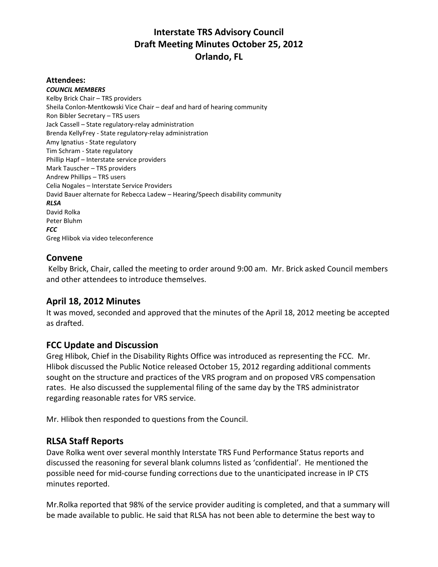## **Interstate TRS Advisory Council Draft Meeting Minutes October 25, 2012 Orlando, FL**

#### **Attendees:**

*COUNCIL MEMBERS* Kelby Brick Chair – TRS providers Sheila Conlon-Mentkowski Vice Chair – deaf and hard of hearing community Ron Bibler Secretary – TRS users Jack Cassell – State regulatory-relay administration Brenda KellyFrey - State regulatory-relay administration Amy Ignatius - State regulatory Tim Schram - State regulatory Phillip Hapf – Interstate service providers Mark Tauscher – TRS providers Andrew Phillips – TRS users Celia Nogales – Interstate Service Providers David Bauer alternate for Rebecca Ladew – Hearing/Speech disability community *RLSA* David Rolka Peter Bluhm *FCC* Greg Hlibok via video teleconference **Convene**

Kelby Brick, Chair, called the meeting to order around 9:00 am. Mr. Brick asked Council members and other attendees to introduce themselves.

## **April 18, 2012 Minutes**

It was moved, seconded and approved that the minutes of the April 18, 2012 meeting be accepted as drafted.

### **FCC Update and Discussion**

Greg Hlibok, Chief in the Disability Rights Office was introduced as representing the FCC. Mr. Hlibok discussed the Public Notice released October 15, 2012 regarding additional comments sought on the structure and practices of the VRS program and on proposed VRS compensation rates. He also discussed the supplemental filing of the same day by the TRS administrator regarding reasonable rates for VRS service.

Mr. Hlibok then responded to questions from the Council.

### **RLSA Staff Reports**

Dave Rolka went over several monthly Interstate TRS Fund Performance Status reports and discussed the reasoning for several blank columns listed as 'confidential'. He mentioned the possible need for mid-course funding corrections due to the unanticipated increase in IP CTS minutes reported.

Mr.Rolka reported that 98% of the service provider auditing is completed, and that a summary will be made available to public. He said that RLSA has not been able to determine the best way to